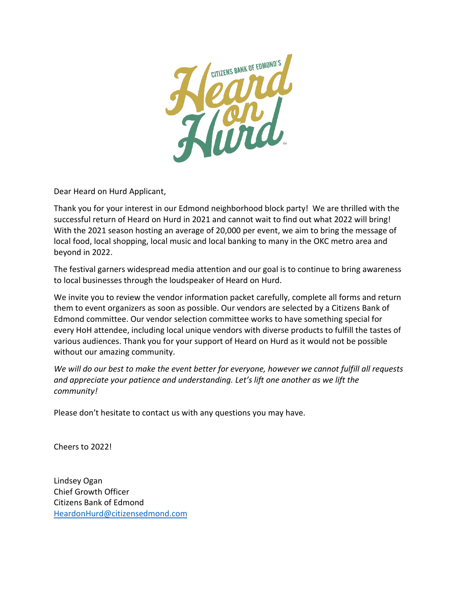

Dear Heard on Hurd Applicant,

Thank you for your interest in our Edmond neighborhood block party! We are thrilled with the successful return of Heard on Hurd in 2021 and cannot wait to find out what 2022 will bring! With the 2021 season hosting an average of 20,000 per event, we aim to bring the message of local food, local shopping, local music and local banking to many in the OKC metro area and beyond in 2022.

The festival garners widespread media attention and our goal is to continue to bring awareness to local businesses through the loudspeaker of Heard on Hurd.

We invite you to review the vendor information packet carefully, complete all forms and return them to event organizers as soon as possible. Our vendors are selected by a Citizens Bank of Edmond committee. Our vendor selection committee works to have something special for every HoH attendee, including local unique vendors with diverse products to fulfill the tastes of various audiences. Thank you for your support of Heard on Hurd as it would not be possible without our amazing community.

*We will do our best to make the event better for everyone, however we cannot fulfill all requests and appreciate your patience and understanding. Let's lift one another as we lift the community!*

Please don't hesitate to contact us with any questions you may have.

Cheers to 2022!

Lindsey Ogan Chief Growth Officer Citizens Bank of Edmond [HeardonHurd@citizensedmond.com](mailto:HeardonHurd@citizensedmond.com)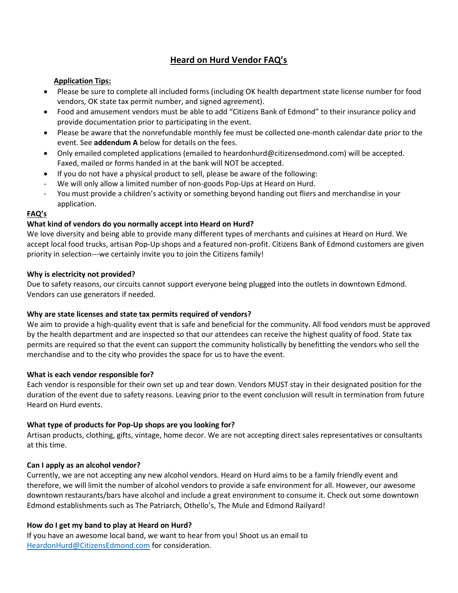# **Heard on Hurd Vendor FAQ's**

#### **Application Tips:**

- Please be sure to complete all included forms (including OK health department state license number for food vendors, OK state tax permit number, and signed agreement).
- Food and amusement vendors must be able to add "Citizens Bank of Edmond" to their insurance policy and provide documentation prior to participating in the event.
- Please be aware that the nonrefundable monthly fee must be collected one-month calendar date prior to the event. See **addendum A** below for details on the fees.
- Only emailed completed applications (emailed to heardonhurd@citizensedmond.com) will be accepted. Faxed, mailed or forms handed in at the bank will NOT be accepted.
- If you do not have a physical product to sell, please be aware of the following:
- We will only allow a limited number of non-goods Pop-Ups at Heard on Hurd.
- You must provide a children's activity or something beyond handing out fliers and merchandise in your application.

#### **FAQ's**

### **What kind of vendors do you normally accept into Heard on Hurd?**

We love diversity and being able to provide many different types of merchants and cuisines at Heard on Hurd. We accept local food trucks, artisan Pop-Up shops and a featured non-profit. Citizens Bank of Edmond customers are given priority in selection---we certainly invite you to join the Citizens family!

#### **Why is electricity not provided?**

Due to safety reasons, our circuits cannot support everyone being plugged into the outlets in downtown Edmond. Vendors can use generators if needed.

### **Why are state licenses and state tax permits required of vendors?**

We aim to provide a high-quality event that is safe and beneficial for the community. All food vendors must be approved by the health department and are inspected so that our attendees can receive the highest quality of food. State tax permits are required so that the event can support the community holistically by benefitting the vendors who sell the merchandise and to the city who provides the space for us to have the event.

#### **What is each vendor responsible for?**

Each vendor is responsible for their own set up and tear down. Vendors MUST stay in their designated position for the duration of the event due to safety reasons. Leaving prior to the event conclusion will result in termination from future Heard on Hurd events.

### **What type of products for Pop-Up shops are you looking for?**

Artisan products, clothing, gifts, vintage, home decor. We are not accepting direct sales representatives or consultants at this time.

#### **Can I apply as an alcohol vendor?**

Currently, we are not accepting any new alcohol vendors. Heard on Hurd aims to be a family friendly event and therefore, we will limit the number of alcohol vendors to provide a safe environment for all. However, our awesome downtown restaurants/bars have alcohol and include a great environment to consume it. Check out some downtown Edmond establishments such as The Patriarch, Othello's, The Mule and Edmond Railyard!

#### **How do I get my band to play at Heard on Hurd?**

If you have an awesome local band, we want to hear from you! Shoot us an email to [HeardonHurd@CitizensEdmond.com](mailto:HeardonHurd@CitizensEdmond.com) for consideration.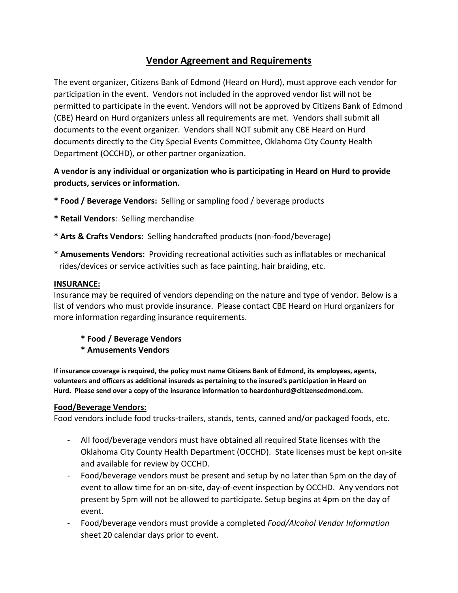# **Vendor Agreement and Requirements**

The event organizer, Citizens Bank of Edmond (Heard on Hurd), must approve each vendor for participation in the event. Vendors not included in the approved vendor list will not be permitted to participate in the event. Vendors will not be approved by Citizens Bank of Edmond (CBE) Heard on Hurd organizers unless all requirements are met. Vendors shall submit all documents to the event organizer. Vendors shall NOT submit any CBE Heard on Hurd documents directly to the City Special Events Committee, Oklahoma City County Health Department (OCCHD), or other partner organization.

# **A vendor is any individual or organization who is participating in Heard on Hurd to provide products, services or information.**

- **\* Food / Beverage Vendors:** Selling or sampling food / beverage products
- **\* Retail Vendors**: Selling merchandise
- **\* Arts & Crafts Vendors:** Selling handcrafted products (non-food/beverage)
- **\* Amusements Vendors:** Providing recreational activities such as inflatables or mechanical rides/devices or service activities such as face painting, hair braiding, etc.

### **INSURANCE:**

Insurance may be required of vendors depending on the nature and type of vendor. Below is a list of vendors who must provide insurance. Please contact CBE Heard on Hurd organizers for more information regarding insurance requirements.

- **\* Food / Beverage Vendors**
- **\* Amusements Vendors**

**If insurance coverage is required, the policy must name Citizens Bank of Edmond, its employees, agents, volunteers and officers as additional insureds as pertaining to the insured's participation in Heard on Hurd. Please send over a copy of the insurance information to heardonhurd@citizensedmond.com.**

## **Food/Beverage Vendors:**

Food vendors include food trucks-trailers, stands, tents, canned and/or packaged foods, etc.

- All food/beverage vendors must have obtained all required State licenses with the Oklahoma City County Health Department (OCCHD). State licenses must be kept on-site and available for review by OCCHD.
- Food/beverage vendors must be present and setup by no later than 5pm on the day of event to allow time for an on-site, day-of-event inspection by OCCHD. Any vendors not present by 5pm will not be allowed to participate. Setup begins at 4pm on the day of event.
- Food/beverage vendors must provide a completed *Food/Alcohol Vendor Information* sheet 20 calendar days prior to event.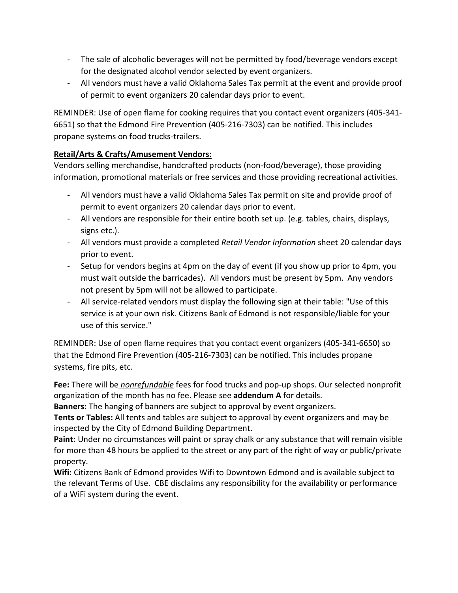- The sale of alcoholic beverages will not be permitted by food/beverage vendors except for the designated alcohol vendor selected by event organizers.
- All vendors must have a valid Oklahoma Sales Tax permit at the event and provide proof of permit to event organizers 20 calendar days prior to event.

REMINDER: Use of open flame for cooking requires that you contact event organizers (405-341- 6651) so that the Edmond Fire Prevention (405-216-7303) can be notified. This includes propane systems on food trucks-trailers.

## **Retail/Arts & Crafts/Amusement Vendors:**

Vendors selling merchandise, handcrafted products (non-food/beverage), those providing information, promotional materials or free services and those providing recreational activities.

- All vendors must have a valid Oklahoma Sales Tax permit on site and provide proof of permit to event organizers 20 calendar days prior to event.
- All vendors are responsible for their entire booth set up. (e.g. tables, chairs, displays, signs etc.).
- All vendors must provide a completed *Retail Vendor Information* sheet 20 calendar days prior to event.
- Setup for vendors begins at 4pm on the day of event (if you show up prior to 4pm, you must wait outside the barricades). All vendors must be present by 5pm. Any vendors not present by 5pm will not be allowed to participate.
- All service-related vendors must display the following sign at their table: "Use of this service is at your own risk. Citizens Bank of Edmond is not responsible/liable for your use of this service."

REMINDER: Use of open flame requires that you contact event organizers (405-341-6650) so that the Edmond Fire Prevention (405-216-7303) can be notified. This includes propane systems, fire pits, etc.

**Fee:** There will be *nonrefundable* fees for food trucks and pop-up shops. Our selected nonprofit organization of the month has no fee. Please see **addendum A** for details.

**Banners:** The hanging of banners are subject to approval by event organizers.

**Tents or Tables:** All tents and tables are subject to approval by event organizers and may be inspected by the City of Edmond Building Department.

**Paint:** Under no circumstances will paint or spray chalk or any substance that will remain visible for more than 48 hours be applied to the street or any part of the right of way or public/private property.

**Wifi:** Citizens Bank of Edmond provides Wifi to Downtown Edmond and is available subject to the relevant Terms of Use. CBE disclaims any responsibility for the availability or performance of a WiFi system during the event.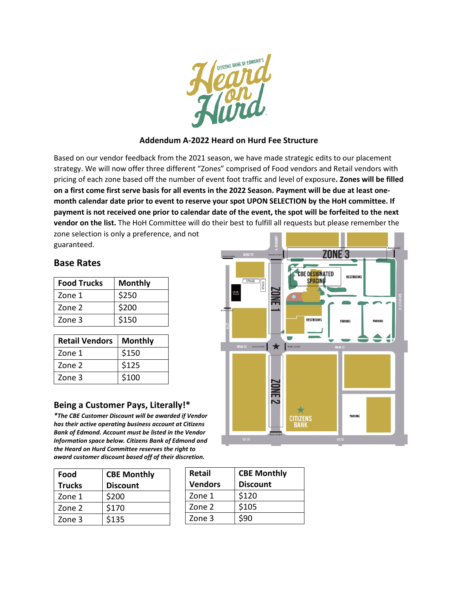

## **Addendum A-2022 Heard on Hurd Fee Structure**

Based on our vendor feedback from the 2021 season, we have made strategic edits to our placement strategy. We will now offer three different "Zones" comprised of Food vendors and Retail vendors with pricing of each zone based off the number of event foot traffic and level of exposure**. Zones will be filled on a first come first serve basis for all events in the 2022 Season. Payment will be due at least onemonth calendar date prior to event to reserve your spot UPON SELECTION by the HoH committee. If payment is not received one prior to calendar date of the event, the spot will be forfeited to the next vendor on the list.** The HoH Committee will do their best to fulfill all requests but please remember the

zone selection is only a preference, and not guaranteed.

# **Base Rates**

| <b>Food Trucks</b> | <b>Monthly</b> |  |  |
|--------------------|----------------|--|--|
| Zone 1             | \$250          |  |  |
| Zone 2             | \$200          |  |  |
| Zone 3             | \$150          |  |  |

| <b>Retail Vendors</b> | <b>Monthly</b> |
|-----------------------|----------------|
| Zone 1                | \$150          |
| Zone 2                | \$125          |
| Zone 3                | \$100          |

## **Being a Customer Pays, Literally!\***

*\*The CBE Customer Discount will be awarded if Vendor has their active operating business account at Citizens Bank of Edmond. Account must be listed in the Vendor Information space below. Citizens Bank of Edmond and the Heard on Hurd Committee reserves the right to award customer discount based off of their discretion.*

| Food          | <b>CBE Monthly</b> |
|---------------|--------------------|
| <b>Trucks</b> | <b>Discount</b>    |
| Zone 1        | \$200              |
| Zone 2        | \$170              |
| Zone 3        | \$135              |

| <b>Retail</b>  | <b>CBE Monthly</b> |  |  |
|----------------|--------------------|--|--|
| <b>Vendors</b> | <b>Discount</b>    |  |  |
| Zone 1         | \$120              |  |  |
| Zone 2         | \$105              |  |  |
| Zone 3         | \$90               |  |  |

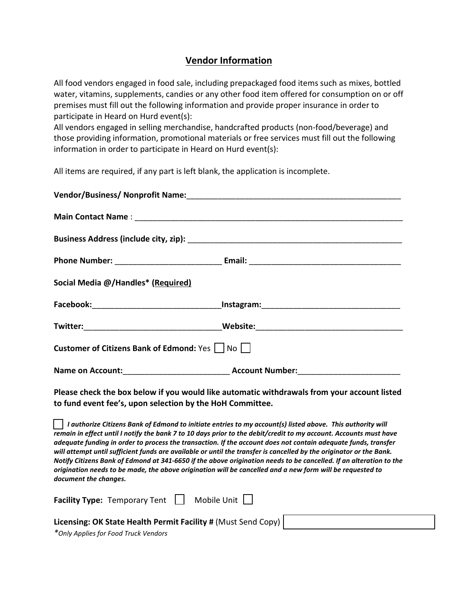# **Vendor Information**

All food vendors engaged in food sale, including prepackaged food items such as mixes, bottled water, vitamins, supplements, candies or any other food item offered for consumption on or off premises must fill out the following information and provide proper insurance in order to participate in Heard on Hurd event(s):

All vendors engaged in selling merchandise, handcrafted products (non-food/beverage) and those providing information, promotional materials or free services must fill out the following information in order to participate in Heard on Hurd event(s):

All items are required, if any part is left blank, the application is incomplete.

| Vendor/Business/ Nonprofit Name: Manual Announcement Control of New York Changes and Manual Annual Annual Annu |                                                                                                                                                                                                                                                                                                                                                                                                                                                                                                                                                                                                       |
|----------------------------------------------------------------------------------------------------------------|-------------------------------------------------------------------------------------------------------------------------------------------------------------------------------------------------------------------------------------------------------------------------------------------------------------------------------------------------------------------------------------------------------------------------------------------------------------------------------------------------------------------------------------------------------------------------------------------------------|
|                                                                                                                |                                                                                                                                                                                                                                                                                                                                                                                                                                                                                                                                                                                                       |
|                                                                                                                |                                                                                                                                                                                                                                                                                                                                                                                                                                                                                                                                                                                                       |
|                                                                                                                |                                                                                                                                                                                                                                                                                                                                                                                                                                                                                                                                                                                                       |
| Social Media @/Handles* (Required)                                                                             |                                                                                                                                                                                                                                                                                                                                                                                                                                                                                                                                                                                                       |
|                                                                                                                |                                                                                                                                                                                                                                                                                                                                                                                                                                                                                                                                                                                                       |
|                                                                                                                |                                                                                                                                                                                                                                                                                                                                                                                                                                                                                                                                                                                                       |
| <b>Customer of Citizens Bank of Edmond: Yes     No      </b>                                                   |                                                                                                                                                                                                                                                                                                                                                                                                                                                                                                                                                                                                       |
|                                                                                                                |                                                                                                                                                                                                                                                                                                                                                                                                                                                                                                                                                                                                       |
| to fund event fee's, upon selection by the HoH Committee.                                                      | Please check the box below if you would like automatic withdrawals from your account listed                                                                                                                                                                                                                                                                                                                                                                                                                                                                                                           |
| origination needs to be made, the above origination will be cancelled and a new form will be requested to      | $\Box$ I authorize Citizens Bank of Edmond to initiate entries to my account(s) listed above. This authority will<br>remain in effect until I notify the bank 7 to 10 days prior to the debit/credit to my account. Accounts must have<br>adequate funding in order to process the transaction. If the account does not contain adequate funds, transfer<br>will attempt until sufficient funds are available or until the transfer is cancelled by the originator or the Bank.<br>Notify Citizens Bank of Edmond at 341-6650 if the above origination needs to be cancelled. If an alteration to the |

*document the changes.*

| <b>Facility Type:</b> Temporary Tent $\vert \vert$<br>Mobile Unit                                     |  |
|-------------------------------------------------------------------------------------------------------|--|
| Licensing: OK State Health Permit Facility # (Must Send Copy)<br>*Only Applies for Food Truck Vendors |  |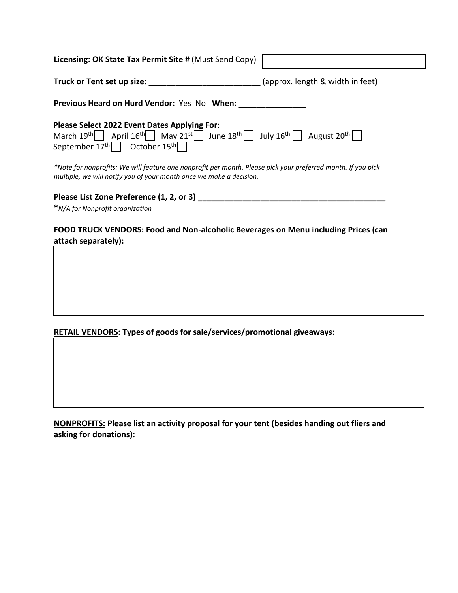| Licensing: OK State Tax Permit Site # (Must Send Copy)                                                                                                                                                                                        |                                  |
|-----------------------------------------------------------------------------------------------------------------------------------------------------------------------------------------------------------------------------------------------|----------------------------------|
| Truck or Tent set up size:                                                                                                                                                                                                                    | (approx. length & width in feet) |
| <b>Previous Heard on Hurd Vendor: Yes No When:</b>                                                                                                                                                                                            |                                  |
| Please Select 2022 Event Dates Applying For:<br>March 19 <sup>th</sup> April 16 <sup>th</sup> May 21 <sup>st</sup> June 18 <sup>th</sup> July 16 <sup>th</sup> August 20 <sup>th</sup><br>September $17^{\text{th}}$ October $15^{\text{th}}$ |                                  |
| *Note for nonprofits: We will feature one nonprofit per month. Please pick your preferred month. If you pick<br>multiple, we will notify you of your month once we make a decision.                                                           |                                  |
| Please List Zone Preference (1, 2, or 3)                                                                                                                                                                                                      |                                  |

**\****N/A for Nonprofit organization*

## **FOOD TRUCK VENDORS: Food and Non-alcoholic Beverages on Menu including Prices (can attach separately):**

**RETAIL VENDORS: Types of goods for sale/services/promotional giveaways:**

**Describe any previous large event experience (if any):**

**NONPROFITS: Please list an activity proposal for your tent (besides handing out fliers and asking for donations):**